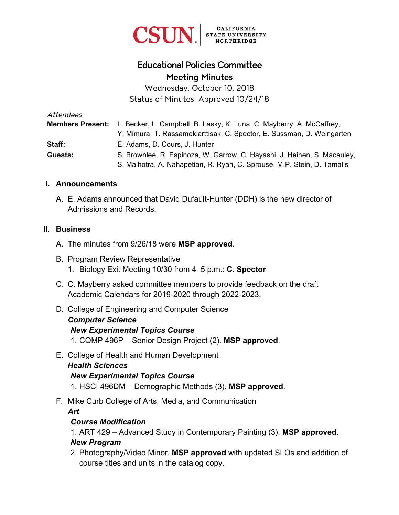

# Educational Policies Committee Meeting Minutes

Wednesday, October 10, 2018 Status of Minutes: Approved 10/24/18

| Attendees |                                                                                        |
|-----------|----------------------------------------------------------------------------------------|
|           | Members Present: L. Becker, L. Campbell, B. Lasky, K. Luna, C. Mayberry, A. McCaffrey, |
|           | Y. Mimura, T. Rassamekiarttisak, C. Spector, E. Sussman, D. Weingarten                 |
| Staff:    | E. Adams, D. Cours, J. Hunter                                                          |
| Guests:   | S. Brownlee, R. Espinoza, W. Garrow, C. Hayashi, J. Heinen, S. Macauley,               |
|           | S. Malhotra, A. Nahapetian, R. Ryan, C. Sprouse, M.P. Stein, D. Tamalis                |

#### **I. Announcements**

A. E. Adams announced that David Dufault-Hunter (DDH) is the new director of Admissions and Records.

#### **II. Business**

- A. The minutes from 9/26/18 were **MSP approved**.
- B. Program Review Representative 1. Biology Exit Meeting 10/30 from 4–5 p.m.: **C. Spector**
- C. C. Mayberry asked committee members to provide feedback on the draft Academic Calendars for 2019-2020 through 2022-2023.
- D. College of Engineering and Computer Science *Computer Science New Experimental Topics Course*  1. COMP 496P – Senior Design Project (2). **MSP approved**.
- E. College of Health and Human Development *Health Sciences New Experimental Topics Course* 1. HSCI 496DM – Demographic Methods (3). **MSP approved**.
- F. Mike Curb College of Arts, Media, and Communication

*Art*

#### *Course Modification*

1. ART 429 – Advanced Study in Contemporary Painting (3). **MSP approved**.

#### *New Program*

2. Photography/Video Minor. **MSP approved** with updated SLOs and addition of course titles and units in the catalog copy.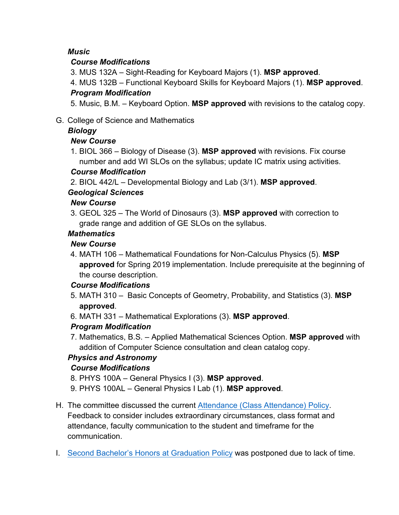#### *Music*

#### *Course Modifications*

3. MUS 132A – Sight-Reading for Keyboard Majors (1). **MSP approved**.

4. MUS 132B – Functional Keyboard Skills for Keyboard Majors (1). **MSP approved**. *Program Modification* 

5. Music, B.M. – Keyboard Option. **MSP approved** with revisions to the catalog copy.

G. College of Science and Mathematics

## *Biology*

## *New Course*

1. BIOL 366 – Biology of Disease (3). **MSP approved** with revisions. Fix course number and add WI SLOs on the syllabus; update IC matrix using activities.

## *Course Modification*

2. BIOL 442/L – Developmental Biology and Lab (3/1). **MSP approved**.

## *Geological Sciences*

## *New Course*

3. GEOL 325 – The World of Dinosaurs (3). **MSP approved** with correction to grade range and addition of GE SLOs on the syllabus.

## *Mathematics*

# *New Course*

4. MATH 106 – Mathematical Foundations for Non-Calculus Physics (5). **MSP approved** for Spring 2019 implementation. Include prerequisite at the beginning of the course description.

## *Course Modifications*

- 5. MATH 310 Basic Concepts of Geometry, Probability, and Statistics (3). **MSP approved**.
- 6. MATH 331 Mathematical Explorations (3). **MSP approved**.

# *Program Modification*

7. Mathematics, B.S. – Applied Mathematical Sciences Option. **MSP approved** with addition of Computer Science consultation and clean catalog copy.

## *Physics and Astronomy*

## *Course Modifications*

- 8. PHYS 100A General Physics I (3). **MSP approved**.
- 9. PHYS 100AL General Physics I Lab (1). **MSP approved**.

# H. The committee discussed the current [Attendance \(Class Attendance\) Policy.](https://catalog.csun.edu/policies/attendance-class-attendance/)

Feedback to consider includes extraordinary circumstances, class format and attendance, faculty communication to the student and timeframe for the communication.

I. [Second Bachelor's Honors at Graduation Policy](https://catalog.csun.edu/policies/second-bachelors-honors-at-graduation/) was postponed due to lack of time.